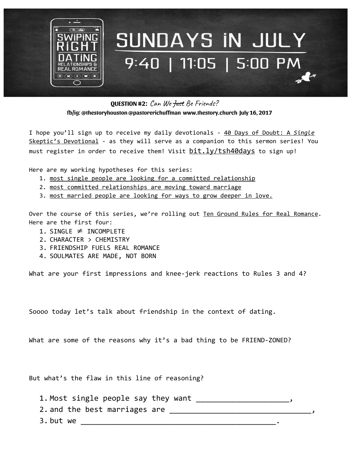

**QUESTION #2**: Can We Just Be Friends? **fb/ig: @thestoryhouston @pastorerichuffman [www.thestory.church](http://www.thestory.church/) July 16, 2017**

I hope you'll sign up to receive my daily devotionals - 40 Days of Doubt: A *Single* Skeptic's Devotional - as they will serve as a companion to this sermon series! You must register in order to receive them! Visit bit.ly/tsh40days to sign up!

Here are my working hypotheses for this series:

- 1. most single people are looking for a committed relationship
- 2. most committed relationships are moving toward marriage
- 3. most married people are looking for ways to grow deeper in love.

Over the course of this series, we're rolling out Ten Ground Rules for Real Romance. Here are the first four:

- 1. SINGLE  $\neq$  INCOMPLETE
- 2. CHARACTER > CHEMISTRY
- 3. FRIENDSHIP FUELS REAL ROMANCE
- 4. SOULMATES ARE MADE, NOT BORN

What are your first impressions and knee-jerk reactions to Rules 3 and 4?

Soooo today let's talk about friendship in the context of dating.

What are some of the reasons why it's a bad thing to be FRIEND-ZONED?

But what's the flaw in this line of reasoning?

1. Most single people say they want \_\_\_\_\_\_\_\_\_\_\_\_\_\_\_\_\_\_\_\_\_, 2. and the best marriages are  $\frac{1}{\sqrt{1-\frac{1}{2}}}\left\vert \frac{1}{\sqrt{1-\frac{1}{2}}}\right\vert$ 3. but we